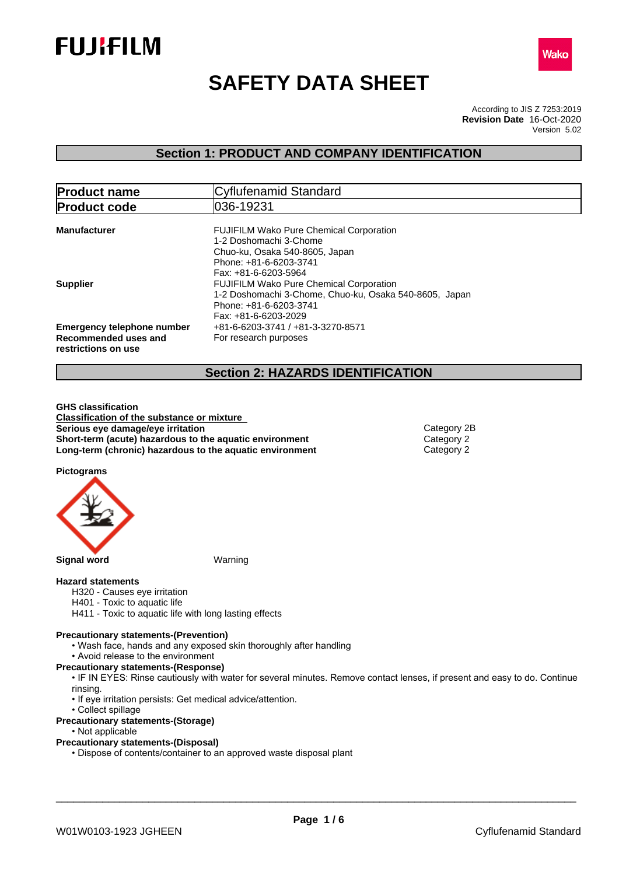



# **SAFETY DATA SHEET**

According to JIS Z 7253:2019 Version 5.02 **Revision Date** 16-Oct-2020

## **Section 1: PRODUCT AND COMPANY IDENTIFICATION**

| <b>Product name</b>                                                              | Cyflufenamid Standard                                                                                                                                        |  |
|----------------------------------------------------------------------------------|--------------------------------------------------------------------------------------------------------------------------------------------------------------|--|
| <b>Product code</b>                                                              | 036-19231                                                                                                                                                    |  |
| <b>Manufacturer</b>                                                              | <b>FUJIFILM Wako Pure Chemical Corporation</b><br>1-2 Doshomachi 3-Chome<br>Chuo-ku, Osaka 540-8605, Japan<br>Phone: +81-6-6203-3741<br>Fax: +81-6-6203-5964 |  |
| <b>Supplier</b>                                                                  | <b>FUJIFILM Wako Pure Chemical Corporation</b><br>1-2 Doshomachi 3-Chome, Chuo-ku, Osaka 540-8605, Japan<br>Phone: +81-6-6203-3741<br>Fax: +81-6-6203-2029   |  |
| <b>Emergency telephone number</b><br>Recommended uses and<br>restrictions on use | +81-6-6203-3741 / +81-3-3270-8571<br>For research purposes                                                                                                   |  |

## **Section 2: HAZARDS IDENTIFICATION**

**GHS classification Classification of the substance or mixture Serious** eye damage/eye irritation **Category 2B Category 2B Short-term (acute) hazardous to the aquatic environment** Category 2<br> **Long-term (chronic) hazardous to the aquatic environment** Category 2 **Long-term (chronic) hazardous to the aquatic environment** 

**Pictograms**



#### **Hazard statements**

- H320 Causes eye irritation
- H401 Toxic to aquatic life
- H411 Toxic to aquatic life with long lasting effects

#### **Precautionary statements-(Prevention)**

- Wash face, hands and any exposed skin thoroughly after handling
- Avoid release to the environment

**Precautionary statements-(Response)**

- IF IN EYES: Rinse cautiously with water for several minutes. Remove contact lenses, if present and easy to do. Continue rinsing.
- If eye irritation persists: Get medical advice/attention.
- Collect spillage
- **Precautionary statements-(Storage)**
	- Not applicable

### **Precautionary statements-(Disposal)**

• Dispose of contents/container to an approved waste disposal plant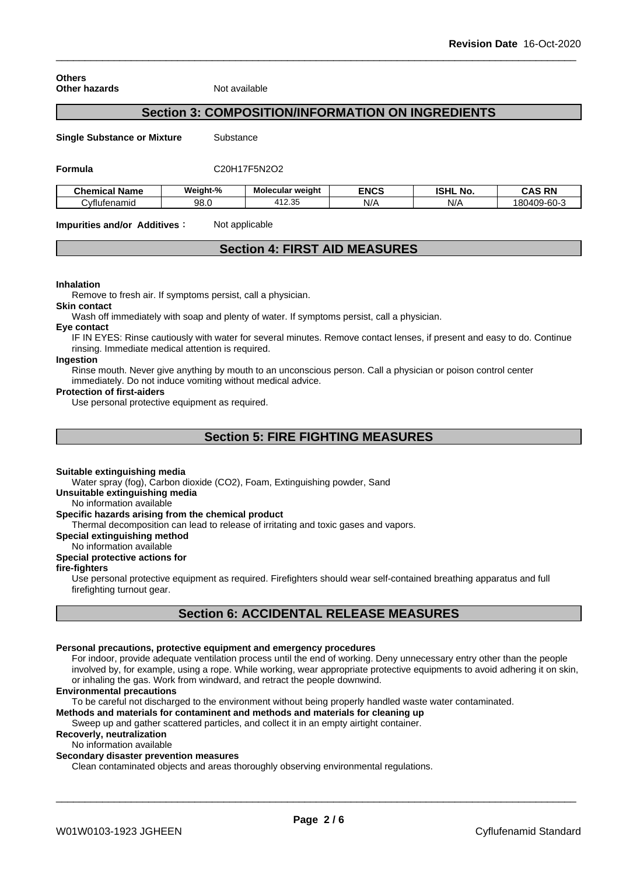**Others Other hazards** Not available

## **Section 3: COMPOSITION/INFORMATION ON INGREDIENTS**

**Single Substance or Mixture** Substance

**Formula** C20H17F5N2O2

| <b>Chemical Name</b> | Weight-% | Molecular weight         | <b>ENCS</b> | <b>ISHL</b><br><b>NO</b> | <b>RN</b><br>CAS      |
|----------------------|----------|--------------------------|-------------|--------------------------|-----------------------|
| Cvflufenamid         | 98.C     | つに<br><u>д</u><br>ںں.ے ا | N/A         | N//                      | 180409-60-<br>$\cdot$ |

**Impurities and/or Additives:** Not applicable

## **Section 4: FIRST AID MEASURES**

#### **Inhalation**

Remove to fresh air. If symptoms persist, call a physician.

**Skin contact**

Wash off immediately with soap and plenty of water. If symptoms persist, call a physician.

#### **Eye contact**

IF IN EYES: Rinse cautiously with water for several minutes. Remove contact lenses, if present and easy to do. Continue rinsing. Immediate medical attention is required.

## **Ingestion**

Rinse mouth. Never give anything by mouth to an unconscious person. Call a physician or poison control center immediately. Do not induce vomiting without medical advice.

#### **Protection of first-aiders**

Use personal protective equipment as required.

## **Section 5: FIRE FIGHTING MEASURES**

#### **Suitable extinguishing media**

Water spray (fog), Carbon dioxide (CO2), Foam, Extinguishing powder, Sand

**Unsuitable extinguishing media**

#### No information available

#### **Specific hazards arising from the chemical product**

Thermal decomposition can lead to release of irritating and toxic gases and vapors.

#### **Special extinguishing method**

No information available

## **Special protective actions for**

## **fire-fighters**

Use personal protective equipment as required.Firefighters should wear self-contained breathing apparatus and full firefighting turnout gear.

## **Section 6: ACCIDENTAL RELEASE MEASURES**

## **Personal precautions, protective equipment and emergency procedures**

For indoor, provide adequate ventilation process until the end of working. Deny unnecessary entry other than the people involved by, for example, using a rope. While working, wear appropriate protective equipments to avoid adhering it on skin, or inhaling the gas. Work from windward, and retract the people downwind.

#### **Environmental precautions**

To be careful not discharged to the environment without being properly handled waste water contaminated.

## **Methods and materials for contaminent and methods and materials for cleaning up**

Sweep up and gather scattered particles, and collect it in an empty airtight container.

## **Recoverly, neutralization**

## No information available

**Secondary disaster prevention measures**

Clean contaminated objects and areas thoroughly observing environmental regulations.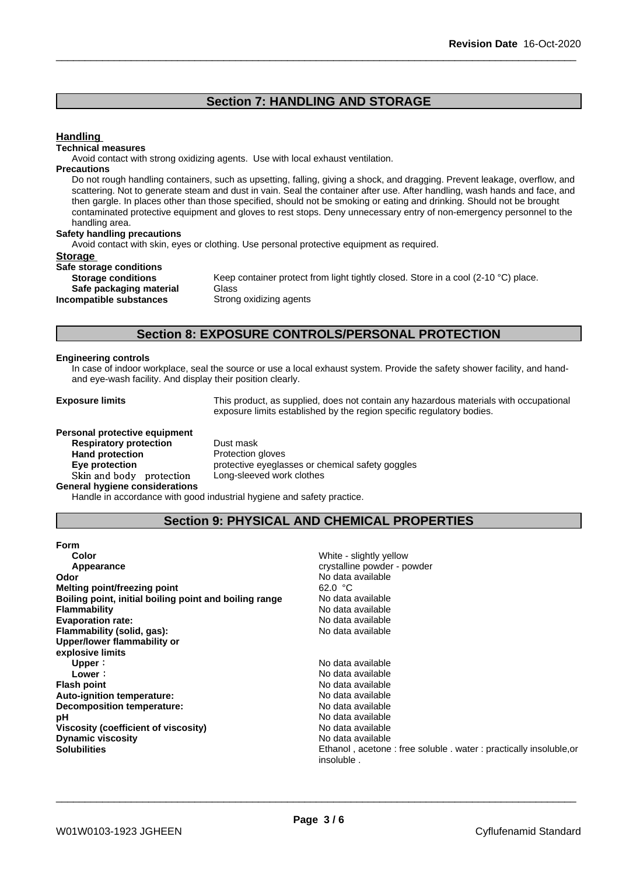## **Section 7: HANDLING AND STORAGE**

## **Handling**

#### **Technical measures**

Avoid contact with strong oxidizing agents. Use with local exhaust ventilation.

#### **Precautions**

Do not rough handling containers, such as upsetting, falling, giving a shock, and dragging. Prevent leakage, overflow, and scattering. Not to generate steam and dust in vain. Seal the container after use. After handling, wash hands and face, and then gargle. In places other than those specified, should not be smoking or eating and drinking. Should not be brought contaminated protective equipment and gloves to rest stops. Deny unnecessary entry of non-emergency personnel to the handling area.

#### **Safety handling precautions**

Avoid contact with skin, eyes or clothing. Use personal protective equipment as required.

#### **Storage**

| Safe storage conditions   |             |
|---------------------------|-------------|
| <b>Storage conditions</b> | Keep conta  |
| Safe packaging material   | Glass       |
| Incompatible substances   | Strong oxid |

Keep container protect from light tightly closed. Store in a cool (2-10 °C) place. **Safe packaging material** Glass **Strong oxidizing agents** 

## **Section 8: EXPOSURE CONTROLS/PERSONAL PROTECTION**

#### **Engineering controls**

In case of indoor workplace, seal the source or use a local exhaust system. Provide the safety shower facility, and handand eye-wash facility. And display their position clearly.

**Exposure limits** This product, as supplied, does not contain any hazardous materials with occupational exposure limits established by the region specific regulatory bodies.

#### **Personal protective equipment**

**Respiratory protection** Dust mask **Hand protection**<br> **Eye protection**<br> **Eye protection**<br> **Exercise Protective eveglas** Skin and body protection **General hygiene considerations**

protective eyeglasses or chemical safety goggles<br>Long-sleeved work clothes

Handle in accordance with good industrial hygiene and safety practice.

## **Section 9: PHYSICAL AND CHEMICAL PROPERTIES**

| <b>Form</b>                                            |                                                                                |
|--------------------------------------------------------|--------------------------------------------------------------------------------|
| Color                                                  | White - slightly yellow                                                        |
| Appearance                                             | crystalline powder - powder                                                    |
| Odor                                                   | No data available                                                              |
| Melting point/freezing point                           | 62.0 °C                                                                        |
| Boiling point, initial boiling point and boiling range | No data available                                                              |
| <b>Flammability</b>                                    | No data available                                                              |
| <b>Evaporation rate:</b>                               | No data available                                                              |
| Flammability (solid, gas):                             | No data available                                                              |
| Upper/lower flammability or                            |                                                                                |
| explosive limits                                       |                                                                                |
| Upper:                                                 | No data available                                                              |
| Lower:                                                 | No data available                                                              |
| <b>Flash point</b>                                     | No data available                                                              |
| Auto-ignition temperature:                             | No data available                                                              |
| Decomposition temperature:                             | No data available                                                              |
| рH                                                     | No data available                                                              |
| Viscosity (coefficient of viscosity)                   | No data available                                                              |
| <b>Dynamic viscosity</b>                               | No data available                                                              |
| <b>Solubilities</b>                                    | Ethanol, acetone: free soluble, water: practically insoluble, or<br>insoluble. |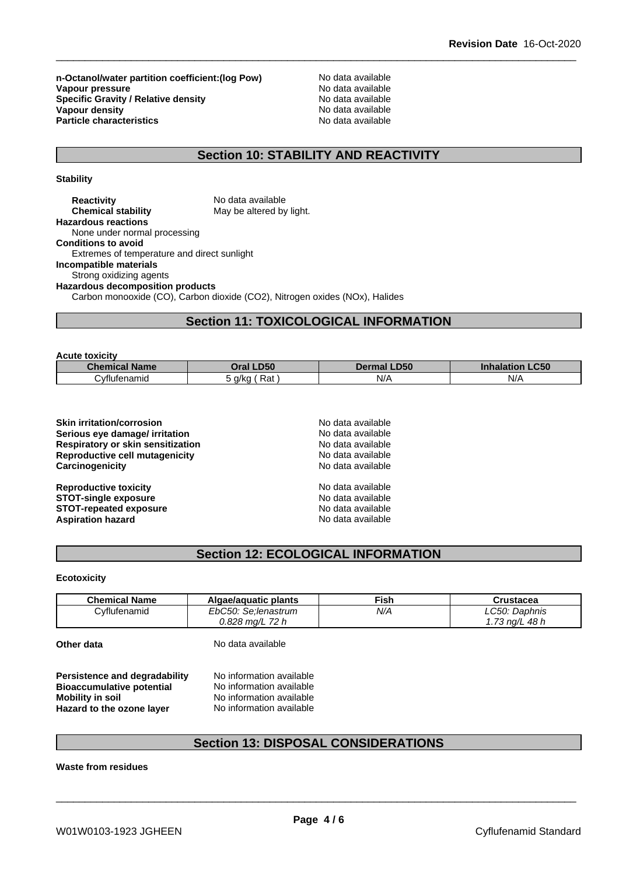**n-Octanol/water partition coefficient:(log Pow) No data available<br>
<b>Vapour pressure** No data available **Vapour pressure**<br> **Specific Gravity / Relative density**<br> **Specific Gravity / Relative density**<br> **No data available Specific Gravity / Relative density Vapour density Particle characteristics** 

No data available<br>No data available

## **Section 10: STABILITY AND REACTIVITY**

**Stability**

| <b>Reactivity</b>                           | No data available                                                           |
|---------------------------------------------|-----------------------------------------------------------------------------|
| <b>Chemical stability</b>                   | May be altered by light.                                                    |
| <b>Hazardous reactions</b>                  |                                                                             |
| None under normal processing                |                                                                             |
| <b>Conditions to avoid</b>                  |                                                                             |
| Extremes of temperature and direct sunlight |                                                                             |
| Incompatible materials                      |                                                                             |
| Strong oxidizing agents                     |                                                                             |
| <b>Hazardous decomposition products</b>     |                                                                             |
|                                             | Carbon monooxide (CO), Carbon dioxide (CO2), Nitrogen oxides (NOx), Halides |

## **Section 11: TOXICOLOGICAL INFORMATION**

| <b>Acute toxicity</b> |               |                    |                        |
|-----------------------|---------------|--------------------|------------------------|
| <b>Chemical Name</b>  | Oral LD50     | <b>Dermal LD50</b> | <b>Inhalation LC50</b> |
| Cvflufenamid          | Rat<br>5 a/ka | N/A                | N/A                    |

| No data available |  |
|-------------------|--|
| No data available |  |
| No data available |  |
| No data available |  |
| No data available |  |
| No data available |  |
| No data available |  |
| No data available |  |
| No data available |  |
|                   |  |

## **Section 12: ECOLOGICAL INFORMATION**

**Ecotoxicity**

| <b>Chemical Name</b> | Algae/aguatic plants | Fish | Crustacea           |
|----------------------|----------------------|------|---------------------|
| Cyflufenamid         | EbC50: Se:lenastrum  | N/A  | LC50:<br>Daphnis    |
|                      | $0.828$ ma/L 72 h    |      | 1.73 na/L<br>. 48 h |

**Other data** No data available

**Persistence and degradability** No information available<br>**Bioaccumulative potential** No information available **Bioaccumulative potential<br>Mobility in soil Mobility in soil** No information available **Hazard to the ozone layer** No information available

## **Section 13: DISPOSAL CONSIDERATIONS**

**Waste from residues**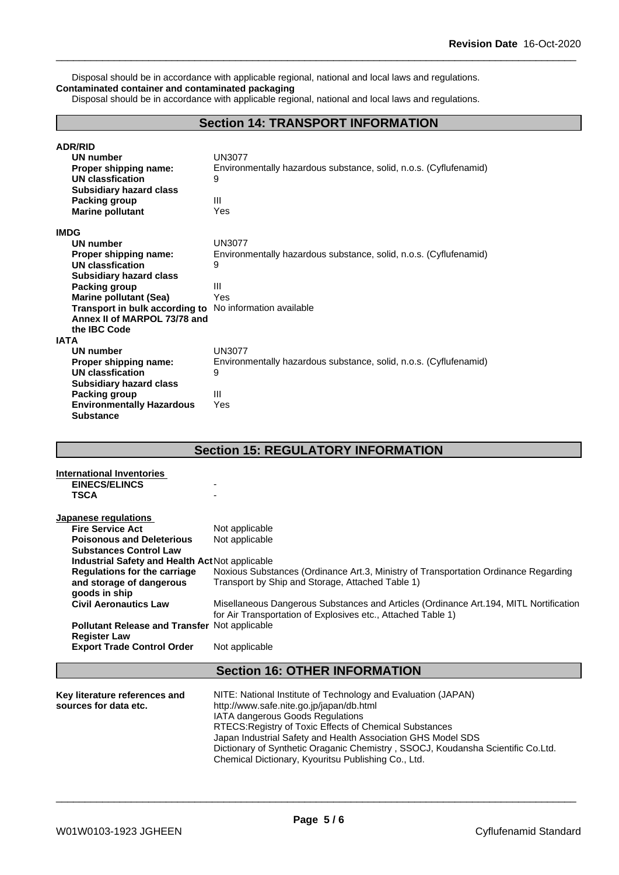Disposal should be in accordance with applicable regional, national and local laws and regulations. **Contaminated container and contaminated packaging**

Disposal should be in accordance with applicable regional, national and local laws and regulations.

## **Section 14: TRANSPORT INFORMATION**

| <b>ADR/RID</b><br>UN number<br>Proper shipping name:<br><b>UN classfication</b><br><b>Subsidiary hazard class</b><br>Packing group | <b>UN3077</b><br>Environmentally hazardous substance, solid, n.o.s. (Cyflufenamid)<br>9<br>Ш |
|------------------------------------------------------------------------------------------------------------------------------------|----------------------------------------------------------------------------------------------|
| <b>Marine pollutant</b>                                                                                                            | Yes                                                                                          |
| <b>IMDG</b>                                                                                                                        |                                                                                              |
| UN number                                                                                                                          | <b>UN3077</b>                                                                                |
| Proper shipping name:                                                                                                              | Environmentally hazardous substance, solid, n.o.s. (Cyflufenamid)                            |
| <b>UN classfication</b>                                                                                                            | 9                                                                                            |
| Subsidiary hazard class                                                                                                            |                                                                                              |
| <b>Packing group</b>                                                                                                               | Ш                                                                                            |
| <b>Marine pollutant (Sea)</b>                                                                                                      | Yes                                                                                          |
| <b>Transport in bulk according to</b> No information available<br>Annex II of MARPOL 73/78 and                                     |                                                                                              |
| the <b>IBC</b> Code                                                                                                                |                                                                                              |
| <b>IATA</b>                                                                                                                        |                                                                                              |
| <b>UN number</b>                                                                                                                   | UN3077                                                                                       |
| Proper shipping name:                                                                                                              | Environmentally hazardous substance, solid, n.o.s. (Cyflufenamid)                            |
| UN classfication                                                                                                                   | 9                                                                                            |
| <b>Subsidiary hazard class</b>                                                                                                     |                                                                                              |
| <b>Packing group</b>                                                                                                               | $\mathbf{III}$                                                                               |
| <b>Environmentally Hazardous</b>                                                                                                   | Yes                                                                                          |
| <b>Substance</b>                                                                                                                   |                                                                                              |

## **Section 15: REGULATORY INFORMATION**

| International Inventories<br><b>EINECS/ELINCS</b><br><b>TSCA</b> |                                                                                                                                                       |
|------------------------------------------------------------------|-------------------------------------------------------------------------------------------------------------------------------------------------------|
| Japanese regulations                                             |                                                                                                                                                       |
| <b>Fire Service Act</b>                                          | Not applicable                                                                                                                                        |
| <b>Poisonous and Deleterious</b>                                 | Not applicable                                                                                                                                        |
| <b>Substances Control Law</b>                                    |                                                                                                                                                       |
| Industrial Safety and Health Act Not applicable                  |                                                                                                                                                       |
| <b>Regulations for the carriage</b>                              | Noxious Substances (Ordinance Art.3, Ministry of Transportation Ordinance Regarding                                                                   |
| and storage of dangerous                                         | Transport by Ship and Storage, Attached Table 1)                                                                                                      |
| goods in ship                                                    |                                                                                                                                                       |
| <b>Civil Aeronautics Law</b>                                     | Misellaneous Dangerous Substances and Articles (Ordinance Art.194, MITL Nortification<br>for Air Transportation of Explosives etc., Attached Table 1) |
| <b>Pollutant Release and Transfer Not applicable</b>             |                                                                                                                                                       |
| <b>Register Law</b>                                              |                                                                                                                                                       |
| <b>Export Trade Control Order</b>                                | Not applicable                                                                                                                                        |
|                                                                  | <b>Section 16: OTHER INFORMATION</b>                                                                                                                  |
|                                                                  |                                                                                                                                                       |
| Key literature references and<br>sources for data etc.           | NITE: National Institute of Technology and Evaluation (JAPAN)<br>http://www.safe.nite.go.jp/japan/db.html                                             |
|                                                                  | <b>IATA dangerous Goods Regulations</b>                                                                                                               |
|                                                                  | RTECS: Registry of Toxic Effects of Chemical Substances                                                                                               |
|                                                                  | Japan Industrial Safety and Health Association GHS Model SDS                                                                                          |
|                                                                  | Dictionary of Synthetic Oraganic Chemistry, SSOCJ, Koudansha Scientific Co.Ltd.                                                                       |
|                                                                  |                                                                                                                                                       |

\_\_\_\_\_\_\_\_\_\_\_\_\_\_\_\_\_\_\_\_\_\_\_\_\_\_\_\_\_\_\_\_\_\_\_\_\_\_\_\_\_\_\_\_\_\_\_\_\_\_\_\_\_\_\_\_\_\_\_\_\_\_\_\_\_\_\_\_\_\_\_\_\_\_\_\_\_\_\_\_\_\_\_\_\_\_\_\_\_\_

Chemical Dictionary, Kyouritsu Publishing Co., Ltd.